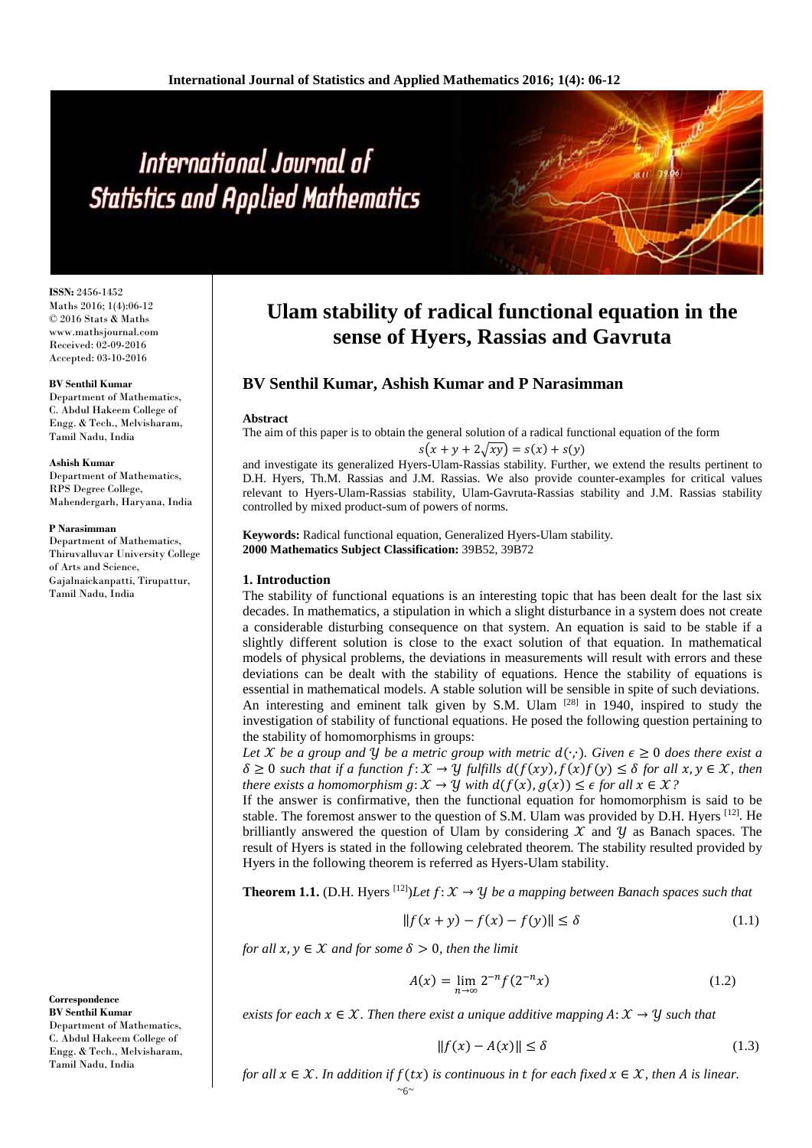**ISSN:** 2456-1452 Maths 2016; 1(4):06-12 © 2016 Stats & Maths www.mathsjournal.com Received: 02-09-2016 Accepted: 03-10-2016

#### **BV Senthil Kumar**

Department of Mathematics, C. Abdul Hakeem College of Engg. & Tech., Melvisharam, Tamil Nadu, India

#### **Ashish Kumar**

Department of Mathematics, RPS Degree College, Mahendergarh, Haryana, India

#### **P Narasimman**

Department of Mathematics, Thiruvalluvar University College of Arts and Science, Gajalnaickanpatti, Tirupattur, Tamil Nadu, India

**Correspondence BV Senthil Kumar** Department of Mathematics, C. Abdul Hakeem College of Engg. & Tech., Melvisharam, Tamil Nadu, India

# **Ulam stability of radical functional equation in the sense of Hyers, Rassias and Gavruta**

# **BV Senthil Kumar, Ashish Kumar and P Narasimman**

#### **Abstract**

The aim of this paper is to obtain the general solution of a radical functional equation of the form

$$
s(x + y + 2\sqrt{xy}) = s(x) + s(y)
$$

and investigate its generalized Hyers-Ulam-Rassias stability. Further, we extend the results pertinent to D.H. Hyers, Th.M. Rassias and J.M. Rassias. We also provide counter-examples for critical values relevant to Hyers-Ulam-Rassias stability, Ulam-Gavruta-Rassias stability and J.M. Rassias stability controlled by mixed product-sum of powers of norms.

**Keywords:** Radical functional equation, Generalized Hyers-Ulam stability. **2000 Mathematics Subject Classification:** 39B52, 39B72

#### **1. Introduction**

The stability of functional equations is an interesting topic that has been dealt for the last six decades. In mathematics, a stipulation in which a slight disturbance in a system does not create a considerable disturbing consequence on that system. An equation is said to be stable if a slightly different solution is close to the exact solution of that equation. In mathematical models of physical problems, the deviations in measurements will result with errors and these deviations can be dealt with the stability of equations. Hence the stability of equations is essential in mathematical models. A stable solution will be sensible in spite of such deviations. An interesting and eminent talk given by S.M. Ulam <sup>[28]</sup> in 1940, inspired to study the investigation of stability of functional equations. He posed the following question pertaining to the stability of homomorphisms in groups:

*Let*  $X$  *be a group and*  $Y$  *be a metric group with metric d*( $·$ , $\cdot$ *). Given*  $\epsilon \geq 0$  *does there exist a*  $\delta \geq 0$  *such that if a function*  $f: \mathcal{X} \to \mathcal{Y}$  *fulfills*  $d(f(xy), f(x)f(y)) \leq \delta$  *for all*  $x, y \in \mathcal{X}$ *, then there exists a homomorphism*  $q: \mathcal{X} \to \mathcal{Y}$  *with*  $d(f(x), g(x)) \leq \epsilon$  *for all*  $x \in \mathcal{X}$ ?

If the answer is confirmative, then the functional equation for homomorphism is said to be stable. The foremost answer to the question of S.M. Ulam was provided by D.H. Hyers [12]. He brilliantly answered the question of Ulam by considering  $X$  and  $Y$  as Banach spaces. The result of Hyers is stated in the following celebrated theorem. The stability resulted provided by Hyers in the following theorem is referred as Hyers-Ulam stability.

**Theorem 1.1.** (D.H. Hyers <sup>[12]</sup>)*Let*  $f: \mathcal{X} \to \mathcal{Y}$  *be a mapping between Banach spaces such that* 

$$
||f(x + y) - f(x) - f(y)|| \le \delta
$$
 (1.1)

*for all*  $x, y \in \mathcal{X}$  *and for some*  $\delta > 0$ *, then the limit* 

$$
A(x) = \lim_{n \to \infty} 2^{-n} f(2^{-n} x)
$$
 (1.2)

*exists for each*  $x \in \mathcal{X}$ . Then there exist a unique additive mapping  $A: \mathcal{X} \rightarrow \mathcal{Y}$  such that

$$
||f(x) - A(x)|| \le \delta \tag{1.3}
$$

*for all*  $x \in \mathcal{X}$ *. In addition if*  $f(tx)$  *is continuous in t for each fixed*  $x \in \mathcal{X}$ *, then A is linear.* 

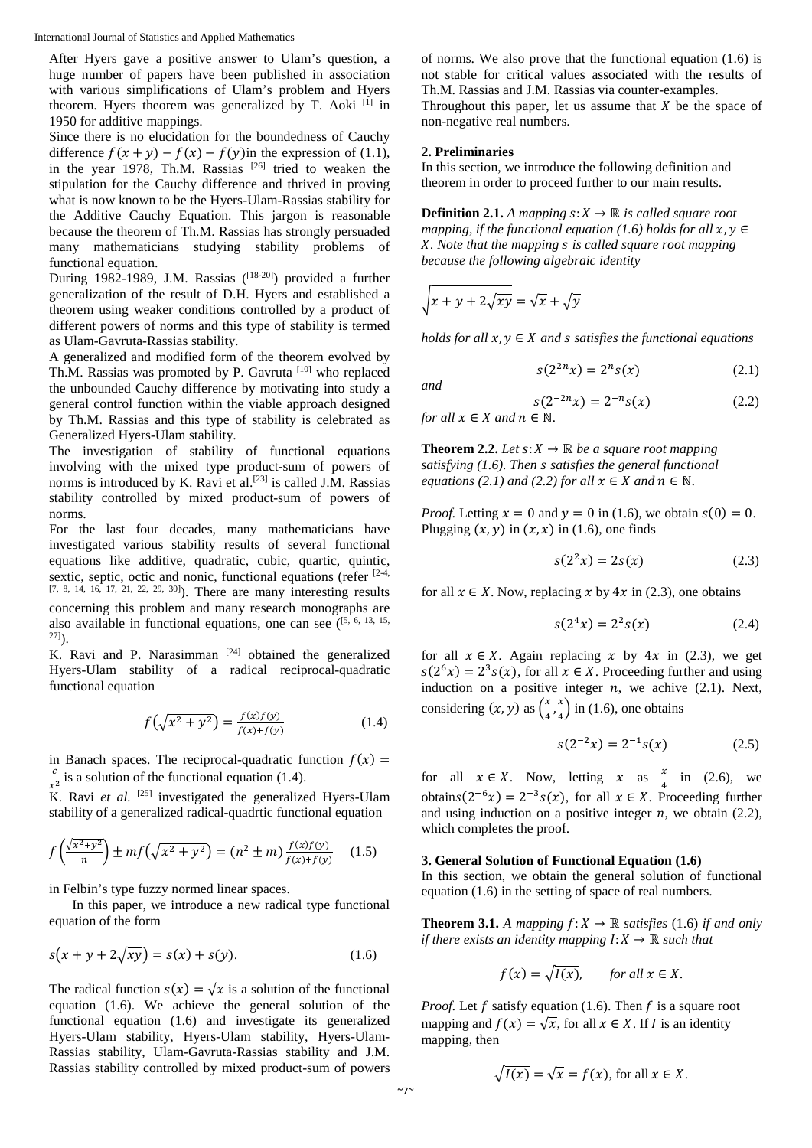After Hyers gave a positive answer to Ulam's question, a huge number of papers have been published in association with various simplifications of Ulam's problem and Hyers theorem. Hyers theorem was generalized by T. Aoki [1] in 1950 for additive mappings.

Since there is no elucidation for the boundedness of Cauchy difference  $f(x + y) - f(x) - f(y)$ in the expression of (1.1), in the year 1978, Th.M. Rassias  $[26]$  tried to weaken the stipulation for the Cauchy difference and thrived in proving what is now known to be the Hyers-Ulam-Rassias stability for the Additive Cauchy Equation. This jargon is reasonable because the theorem of Th.M. Rassias has strongly persuaded many mathematicians studying stability problems of functional equation.

During 1982-1989, J.M. Rassias  $(18-20)$  provided a further generalization of the result of D.H. Hyers and established a theorem using weaker conditions controlled by a product of different powers of norms and this type of stability is termed as Ulam-Gavruta-Rassias stability.

A generalized and modified form of the theorem evolved by Th.M. Rassias was promoted by P. Gavruta [10] who replaced the unbounded Cauchy difference by motivating into study a general control function within the viable approach designed by Th.M. Rassias and this type of stability is celebrated as Generalized Hyers-Ulam stability.

The investigation of stability of functional equations involving with the mixed type product-sum of powers of norms is introduced by K. Ravi et al.<sup>[23]</sup> is called J.M. Rassias stability controlled by mixed product-sum of powers of norms.

For the last four decades, many mathematicians have investigated various stability results of several functional equations like additive, quadratic, cubic, quartic, quintic, sextic, septic, octic and nonic, functional equations (refer  $[2-4, 1]$ [7, 8, 14, 16, 17, 21, 22, 29, 30]). There are many interesting results concerning this problem and many research monographs are also available in functional equations, one can see  $(5, 6, 13, 15, ...)$  $^{27]}$ ).

K. Ravi and P. Narasimman  $[24]$  obtained the generalized Hyers-Ulam stability of a radical reciprocal-quadratic functional equation

$$
f(\sqrt{x^2 + y^2}) = \frac{f(x)f(y)}{f(x) + f(y)}\tag{1.4}
$$

in Banach spaces. The reciprocal-quadratic function  $f(x) =$  $\frac{c}{x^2}$  is a solution of the functional equation (1.4).

 $\tilde{K}$ . Ravi *et al.* <sup>[25]</sup> investigated the generalized Hyers-Ulam stability of a generalized radical-quadrtic functional equation

$$
f\left(\frac{\sqrt{x^2+y^2}}{n}\right) \pm mf\left(\sqrt{x^2+y^2}\right) = (n^2 \pm m) \frac{f(x)f(y)}{f(x)+f(y)} \tag{1.5}
$$

in Felbin's type fuzzy normed linear spaces.

In this paper, we introduce a new radical type functional equation of the form

$$
s(x + y + 2\sqrt{xy}) = s(x) + s(y).
$$
 (1.6)

The radical function  $s(x) = \sqrt{x}$  is a solution of the functional equation (1.6). We achieve the general solution of the functional equation (1.6) and investigate its generalized Hyers-Ulam stability, Hyers-Ulam stability, Hyers-Ulam-Rassias stability, Ulam-Gavruta-Rassias stability and J.M. Rassias stability controlled by mixed product-sum of powers of norms. We also prove that the functional equation (1.6) is not stable for critical values associated with the results of Th.M. Rassias and J.M. Rassias via counter-examples. Throughout this paper, let us assume that  $X$  be the space of non-negative real numbers.

#### **2. Preliminaries**

In this section, we introduce the following definition and theorem in order to proceed further to our main results.

**Definition 2.1.** *A mapping*  $s: X \to \mathbb{R}$  *is called square root mapping, if the functional equation (1.6) holds for all*  $x, y \in$ *. Note that the mapping is called square root mapping because the following algebraic identity*

$$
\sqrt{x + y + 2\sqrt{xy}} = \sqrt{x} + \sqrt{y}
$$

*holds for all*  $x, y \in X$  *and s satisfies the functional equations* 

$$
s(2^{2n}x) = 2^{n}s(x)
$$
 (2.1)

*and*

$$
s(2^{-2n}x) = 2^{-n}s(x)
$$
 (2.2)  
for all  $x \in X$  and  $n \in \mathbb{N}$ .

**Theorem 2.2.** *Let*  $s: X \to \mathbb{R}$  *be a square root mapping satisfying (1.6). Then satisfies the general functional equations (2.1) and (2.2) for all*  $x \in X$  *and*  $n \in \mathbb{N}$ *.* 

*Proof.* Letting  $x = 0$  and  $y = 0$  in (1.6), we obtain  $s(0) = 0$ . Plugging  $(x, y)$  in  $(x, x)$  in (1.6), one finds

$$
s(22x) = 2s(x) \tag{2.3}
$$

for all  $x \in X$ . Now, replacing x by 4x in (2.3), one obtains

$$
s(2^4x) = 2^2s(x)
$$
 (2.4)

for all  $x \in X$ . Again replacing x by 4x in (2.3), we get  $s(2<sup>6</sup>x) = 2<sup>3</sup>s(x)$ , for all  $x \in X$ . Proceeding further and using induction on a positive integer  $n$ , we achive  $(2.1)$ . Next, considering  $(x, y)$  as  $\left(\frac{x}{4}, \frac{x}{4}\right)$  $\left(\frac{\lambda}{4}\right)$  in (1.6), one obtains

$$
s(2^{-2}x) = 2^{-1}s(x) \tag{2.5}
$$

for all  $x \in X$ . Now, letting  $x$  as  $\frac{x}{4}$  in (2.6), we obtains(2<sup>-6</sup> $x$ ) = 2<sup>-3</sup>s( $x$ ), for all  $x \in X$ . Proceeding further and using induction on a positive integer  $n$ , we obtain (2.2), which completes the proof.

## **3. General Solution of Functional Equation (1.6)**

In this section, we obtain the general solution of functional equation (1.6) in the setting of space of real numbers.

**Theorem 3.1.** *A mapping*  $f: X \to \mathbb{R}$  *satisfies* (1.6) *if and only if there exists an identity mapping*  $I: X \rightarrow \mathbb{R}$  *such that* 

$$
f(x) = \sqrt{I(x)}, \quad \text{for all } x \in X.
$$

*Proof.* Let  $f$  satisfy equation (1.6). Then  $f$  is a square root mapping and  $f(x) = \sqrt{x}$ , for all  $x \in X$ . If *I* is an identity mapping, then

$$
\sqrt{I(x)} = \sqrt{x} = f(x), \text{ for all } x \in X.
$$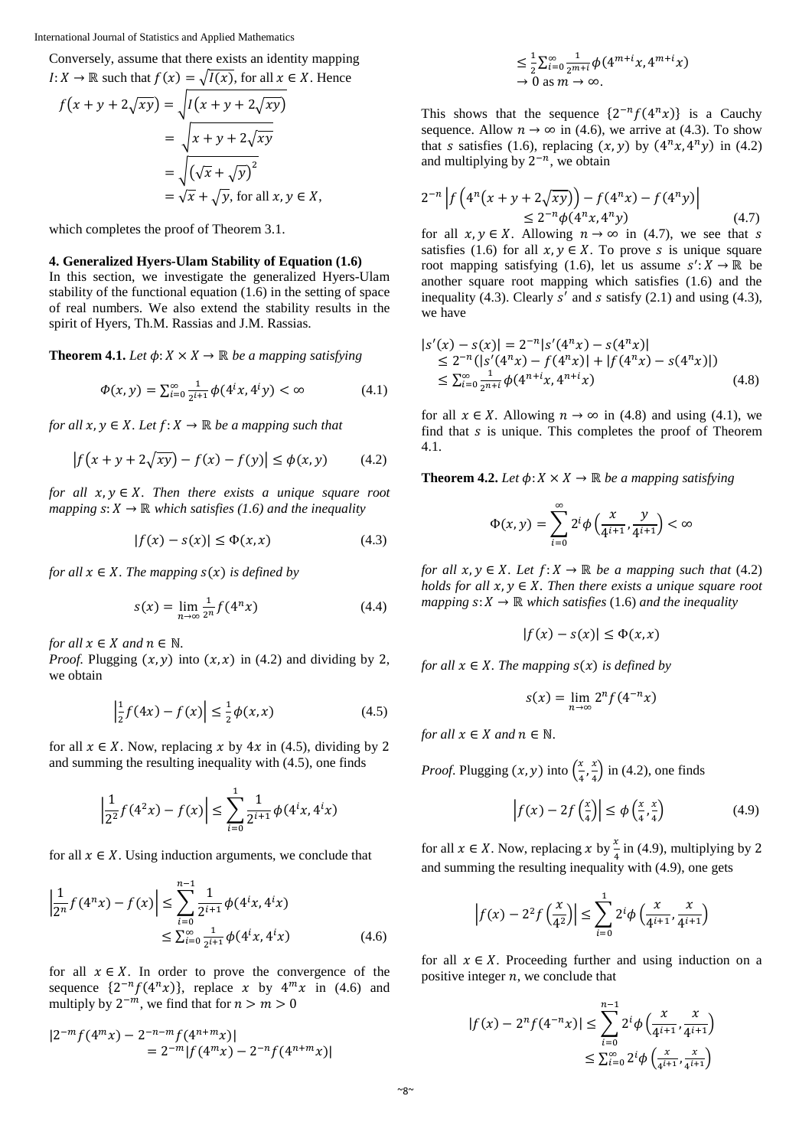Conversely, assume that there exists an identity mapping  $I: X \to \mathbb{R}$  such that  $f(x) = \sqrt{I(x)}$ , for all  $x \in X$ . Hence

$$
f(x + y + 2\sqrt{xy}) = \sqrt{I(x + y + 2\sqrt{xy})}
$$
  
= 
$$
\sqrt{x + y + 2\sqrt{xy}}
$$
  
= 
$$
\sqrt{(\sqrt{x} + \sqrt{y})^2}
$$
  
= 
$$
\sqrt{x} + \sqrt{y}
$$
, for all  $x, y \in X$ ,

which completes the proof of Theorem 3.1.

# **4. Generalized Hyers-Ulam Stability of Equation (1.6)**

In this section, we investigate the generalized Hyers-Ulam stability of the functional equation (1.6) in the setting of space of real numbers. We also extend the stability results in the spirit of Hyers, Th.M. Rassias and J.M. Rassias.

**Theorem 4.1.** *Let*  $\phi: X \times X \to \mathbb{R}$  *be a mapping satisfying* 

$$
\Phi(x, y) = \sum_{i=0}^{\infty} \frac{1}{2^{i+1}} \phi(4^i x, 4^i y) < \infty \tag{4.1}
$$

*for all*  $x, y \in X$ *. Let*  $f: X \to \mathbb{R}$  *be a mapping such that* 

$$
|f(x + y + 2\sqrt{xy}) - f(x) - f(y)| \le \phi(x, y)
$$
 (4.2)

*for all*  $x, y \in X$ *. Then there exists a unique square root mapping*  $s: X \to \mathbb{R}$  *which satisfies (1.6) and the inequality* 

$$
|f(x) - s(x)| \le \Phi(x, x) \tag{4.3}
$$

*for all*  $x \in X$ *. The mapping*  $s(x)$  *is defined by* 

$$
s(x) = \lim_{n \to \infty} \frac{1}{2^n} f(4^n x) \tag{4.4}
$$

*for all*  $x \in X$  *and*  $n \in \mathbb{N}$ *.* 

*Proof.* Plugging  $(x, y)$  into  $(x, x)$  in (4.2) and dividing by 2, we obtain

$$
\left| \frac{1}{2} f(4x) - f(x) \right| \le \frac{1}{2} \phi(x, x) \tag{4.5}
$$

for all  $x \in X$ . Now, replacing x by 4x in (4.5), dividing by 2 and summing the resulting inequality with (4.5), one finds

$$
\left|\frac{1}{2^2}f(4^2x) - f(x)\right| \le \sum_{i=0}^1 \frac{1}{2^{i+1}} \phi(4^i x, 4^i x)
$$

for all  $x \in X$ . Using induction arguments, we conclude that

$$
\left|\frac{1}{2^n}f(4^nx) - f(x)\right| \le \sum_{i=0}^{n-1} \frac{1}{2^{i+1}} \phi(4^i x, 4^i x) \le \sum_{i=0}^{\infty} \frac{1}{2^{i+1}} \phi(4^i x, 4^i x) \tag{4.6}
$$

for all  $x \in X$ . In order to prove the convergence of the sequence  $\{2^{-n}f(4^nx)\}\$ , replace x by  $4^mx$  in (4.6) and multiply by  $2^{-m}$ , we find that for  $n > m > 0$ 

$$
|2^{-m} f(4^{m} x) - 2^{-n-m} f(4^{n+m} x)|
$$
  
= 2^{-m} |f(4^{m} x) - 2^{-n} f(4^{n+m} x)|

$$
\leq \frac{1}{2} \sum_{i=0}^{\infty} \frac{1}{2^{m+i}} \phi(4^{m+i}x, 4^{m+i}x)
$$
  
\n $\rightarrow 0$  as  $m \rightarrow \infty$ .

This shows that the sequence  $\{2^{-n}f(4^nx)\}\$ is a Cauchy sequence. Allow  $n \to \infty$  in (4.6), we arrive at (4.3). To show that *s* satisfies (1.6), replacing  $(x, y)$  by  $(4^n x, 4^n y)$  in (4.2) and multiplying by  $2^{-n}$ , we obtain

$$
2^{-n} \left| f\left(4^n(x+y+2\sqrt{xy})\right) - f(4^nx) - f(4^ny)\right|
$$
  
 
$$
\leq 2^{-n} \phi(4^nx, 4^ny) \tag{4.7}
$$

for all  $x, y \in X$ . Allowing  $n \to \infty$  in (4.7), we see that s satisfies (1.6) for all  $x, y \in X$ . To prove *s* is unique square root mapping satisfying (1.6), let us assume  $s': X \to \mathbb{R}$  be another square root mapping which satisfies (1.6) and the inequality (4.3). Clearly  $s'$  and  $s$  satisfy (2.1) and using (4.3), we have

$$
|s'(x) - s(x)| = 2^{-n}|s'(4^n x) - s(4^n x)|
$$
  
\n
$$
\leq 2^{-n}(|s'(4^n x) - f(4^n x)| + |f(4^n x) - s(4^n x)|)
$$
  
\n
$$
\leq \sum_{i=0}^{\infty} \frac{1}{2^{n+i}} \phi(4^{n+i} x, 4^{n+i} x)
$$
\n(4.8)

for all  $x \in X$ . Allowing  $n \to \infty$  in (4.8) and using (4.1), we find that  $s$  is unique. This completes the proof of Theorem 4.1.

**Theorem 4.2.** *Let*  $\phi: X \times X \to \mathbb{R}$  *be a mapping satisfying* 

$$
\Phi(x,y) = \sum_{i=0}^{\infty} 2^i \phi\left(\frac{x}{4^{i+1}}, \frac{y}{4^{i+1}}\right) < \infty
$$

*for all*  $x, y \in X$ *. Let*  $f: X \to \mathbb{R}$  *be a mapping such that* (4.2) *holds for all*  $x, y \in X$ . Then there exists a unique square root *mapping*  $s: X \to \mathbb{R}$  *which satisfies* (1.6) *and the inequality* 

$$
|f(x)-s(x)|\leq \Phi(x,x)
$$

*for all*  $x \in X$ *. The mapping*  $s(x)$  *is defined by* 

$$
s(x) = \lim_{n \to \infty} 2^n f(4^{-n}x)
$$

*for all*  $x \in X$  *and*  $n \in \mathbb{N}$ *.* 

*Proof.* Plugging  $(x, y)$  into  $\left(\frac{x}{4}, \frac{x}{4}\right)$  $\left(\frac{\lambda}{4}\right)$  in (4.2), one finds

$$
\left| f(x) - 2f\left(\frac{x}{4}\right) \right| \le \phi\left(\frac{x}{4}, \frac{x}{4}\right) \tag{4.9}
$$

for all  $x \in X$ . Now, replacing  $x$  by  $\frac{x}{4}$  in (4.9), multiplying by 2 and summing the resulting inequality with (4.9), one gets

$$
\left| f(x) - 2^2 f\left(\frac{x}{4^2}\right) \right| \le \sum_{i=0}^1 2^i \phi\left(\frac{x}{4^{i+1}}, \frac{x}{4^{i+1}}\right)
$$

for all  $x \in X$ . Proceeding further and using induction on a positive integer  $n$ , we conclude that

$$
|f(x) - 2^{n} f(4^{-n} x)| \le \sum_{i=0}^{n-1} 2^{i} \phi\left(\frac{x}{4^{i+1}}, \frac{x}{4^{i+1}}\right)
$$
  

$$
\le \sum_{i=0}^{\infty} 2^{i} \phi\left(\frac{x}{4^{i+1}}, \frac{x}{4^{i+1}}\right)
$$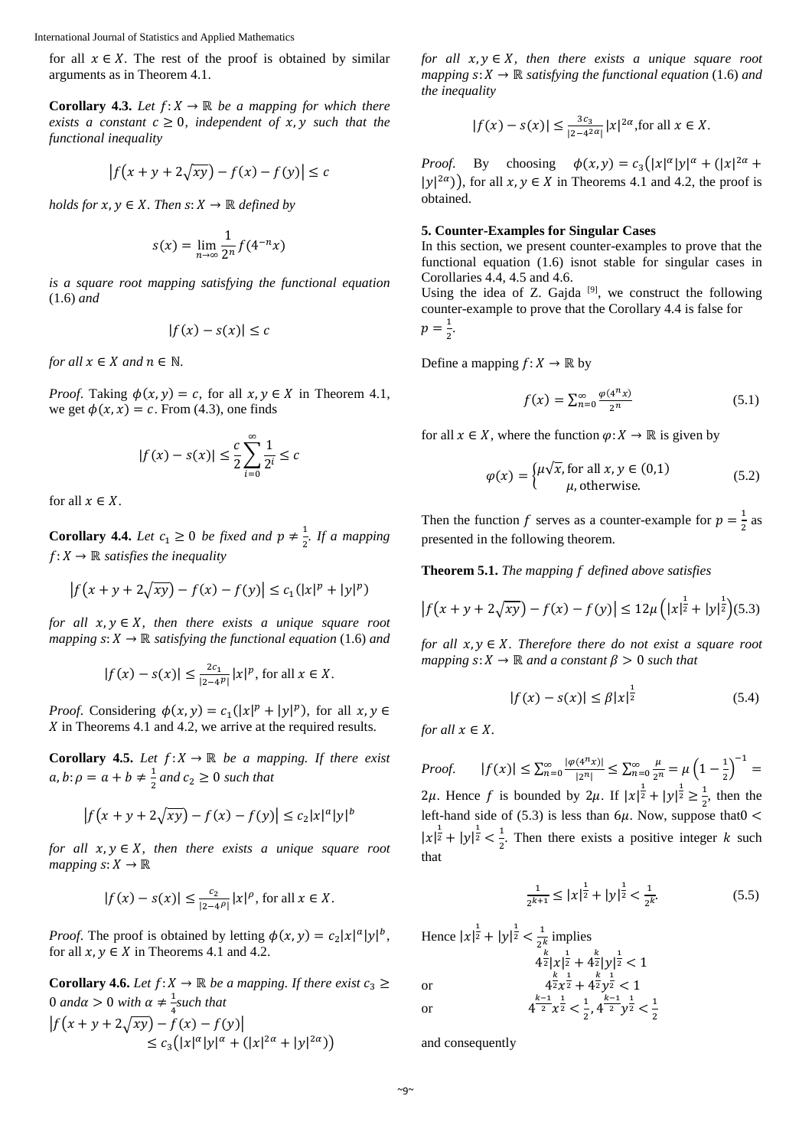for all  $x \in X$ . The rest of the proof is obtained by similar arguments as in Theorem 4.1.

**Corollary 4.3.** *Let*  $f: X \to \mathbb{R}$  *be a mapping for which there exists a constant*  $c \geq 0$ *, independent of*  $x, y$  *such that the functional inequality*

$$
\left|f(x+y+2\sqrt{xy})-f(x)-f(y)\right|\leq c
$$

*holds for*  $x, y \in X$ *. Then*  $s: X \to \mathbb{R}$  *defined by* 

$$
s(x) = \lim_{n \to \infty} \frac{1}{2^n} f(4^{-n}x)
$$

*is a square root mapping satisfying the functional equation*  (1.6) *and*

$$
|f(x) - s(x)| \le c
$$

*for all*  $x \in X$  *and*  $n \in \mathbb{N}$ *.* 

*Proof.* Taking  $\phi(x, y) = c$ , for all  $x, y \in X$  in Theorem 4.1, we get  $\phi(x, x) = c$ . From (4.3), one finds

$$
|f(x) - s(x)| \le \frac{c}{2} \sum_{i=0}^{\infty} \frac{1}{2^i} \le c
$$

for all  $x \in X$ .

**Corollary 4.4.** *Let*  $c_1 \ge 0$  *be fixed and*  $p \neq \frac{1}{2}$ *. If a mapping*  $f: X \to \mathbb{R}$  *satisfies the inequality* 

$$
|f(x + y + 2\sqrt{xy}) - f(x) - f(y)| \le c_1(|x|^p + |y|^p)
$$

*for all*  $x, y \in X$ , then there exists a unique square root *mapping*  $s: X \to \mathbb{R}$  *satisfying the functional equation* (1.6) *and* 

$$
|f(x) - s(x)| \le \frac{2c_1}{|2 - 4^p|} |x|^p
$$
, for all  $x \in X$ .

*Proof.* Considering  $\phi(x, y) = c_1(|x|^p + |y|^p)$ , for all  $x, y \in$  $\chi$  in Theorems 4.1 and 4.2, we arrive at the required results.

**Corollary 4.5.** *Let*  $f: X \to \mathbb{R}$  *be a mapping. If there exist*  $a, b: \rho = a + b \neq \frac{1}{2}$  and  $c_2 \geq 0$  such that

$$
|f(x + y + 2\sqrt{xy}) - f(x) - f(y)| \le c_2 |x|^a |y|^b
$$

*for all*  $x, y \in X$ *, then there exists a unique square root mapping*  $s: X \to \mathbb{R}$ 

$$
|f(x) - s(x)| \le \frac{c_2}{|2 - 4\rho|} |x|^\rho
$$
, for all  $x \in X$ .

*Proof.* The proof is obtained by letting  $\phi(x, y) = c_2 |x|^a |y|^b$ , for all  $x, y \in X$  in Theorems 4.1 and 4.2.

**Corollary 4.6.** *Let*  $f: X \to \mathbb{R}$  *be a mapping. If there exist*  $c_3 \geq$ 0 and $\alpha > 0$  with  $\alpha \neq \frac{1}{4}$ such that 4  $|f(x + y + 2\sqrt{xy}) - f(x) - f(y)|$  $\leq c_3(|x|^{\alpha}|y|^{\alpha} + (|x|^{2\alpha} + |y|^{2\alpha}))$ 

*for all*  $x, y \in X$ *, then there exists a unique square root mapping*  $s: X \to \mathbb{R}$  *satisfying the functional equation* (1.6) *and the inequality*

$$
|f(x) - s(x)| \le \frac{3c_3}{|2 - 4^{2\alpha}|} |x|^{2\alpha}
$$
, for all  $x \in X$ .

*Proof.* By choosing  $\phi(x, y) = c_3(|x|^{\alpha}|y|^{\alpha} + (|x|^{2\alpha} +$  $|y|^{2\alpha}$ ), for all  $x, y \in X$  in Theorems 4.1 and 4.2, the proof is obtained.

## **5. Counter-Examples for Singular Cases**

In this section, we present counter-examples to prove that the functional equation (1.6) isnot stable for singular cases in Corollaries 4.4, 4.5 and 4.6.

Using the idea of Z. Gajda  $[9]$ , we construct the following counter-example to prove that the Corollary 4.4 is false for  $p = \frac{1}{2}$ .

Define a mapping  $f: X \to \mathbb{R}$  by

$$
f(x) = \sum_{n=0}^{\infty} \frac{\varphi(4^n x)}{2^n}
$$
 (5.1)

for all  $x \in X$ , where the function  $\varphi: X \to \mathbb{R}$  is given by

$$
\varphi(x) = \begin{cases} \mu\sqrt{x}, \text{for all } x, y \in (0,1) \\ \mu, \text{otherwise.} \end{cases}
$$
 (5.2)

Then the function f serves as a counter-example for  $p = \frac{1}{2}$  as presented in the following theorem.

**Theorem 5.1.** *The mapping defined above satisfies*

$$
\left| f(x + y + 2\sqrt{xy}) - f(x) - f(y) \right| \le 12\mu \left( |x|^{\frac{1}{2}} + |y|^{\frac{1}{2}} \right) (5.3)
$$

*for all*  $x, y \in X$ *. Therefore there do not exist a square root mapping*  $s: X \to \mathbb{R}$  *and a constant*  $\beta > 0$  *such that* 

$$
|f(x) - s(x)| \le \beta |x|^{\frac{1}{2}} \tag{5.4}
$$

*for all*  $x \in X$ *.* 

*Proof.*  $|f(x)| \le \sum_{n=0}^{\infty} \frac{| \varphi(4^n x) |}{|2^n|} \le \sum_{n=0}^{\infty} \frac{\mu}{2^n} = \mu \left(1 - \frac{1}{2}\right)^{-1} =$ 2 $\mu$ . Hence f is bounded by 2 $\mu$ . If  $|x|^{\frac{1}{2}} + |y|^{\frac{1}{2}} \ge \frac{1}{2}$ , then the left-hand side of (5.3) is less than  $6\mu$ . Now, suppose that 0 <  $|x|^{\frac{1}{2}} + |y|^{\frac{1}{2}} < \frac{1}{2}$ . Then there exists a positive integer k such that

$$
\frac{1}{2^{k+1}} \le |x|^{\frac{1}{2}} + |y|^{\frac{1}{2}} < \frac{1}{2^k}.\tag{5.5}
$$

Hence 
$$
|x|^{\frac{1}{2}} + |y|^{\frac{1}{2}} < \frac{1}{2^k}
$$
 implies  
\n
$$
4^{\frac{k}{2}} |x|^{\frac{1}{2}} + 4^{\frac{k}{2}} |y|^{\frac{1}{2}} < 1
$$
\nor  
\n
$$
4^{\frac{k}{2}} x^{\frac{1}{2}} + 4^{\frac{k}{2}} y^{\frac{1}{2}} < 1
$$
\nor  
\n
$$
4^{\frac{k-1}{2}} x^{\frac{1}{2}} < \frac{1}{2}, 4^{\frac{k-1}{2}} y^{\frac{1}{2}} < \frac{1}{2}
$$

and consequently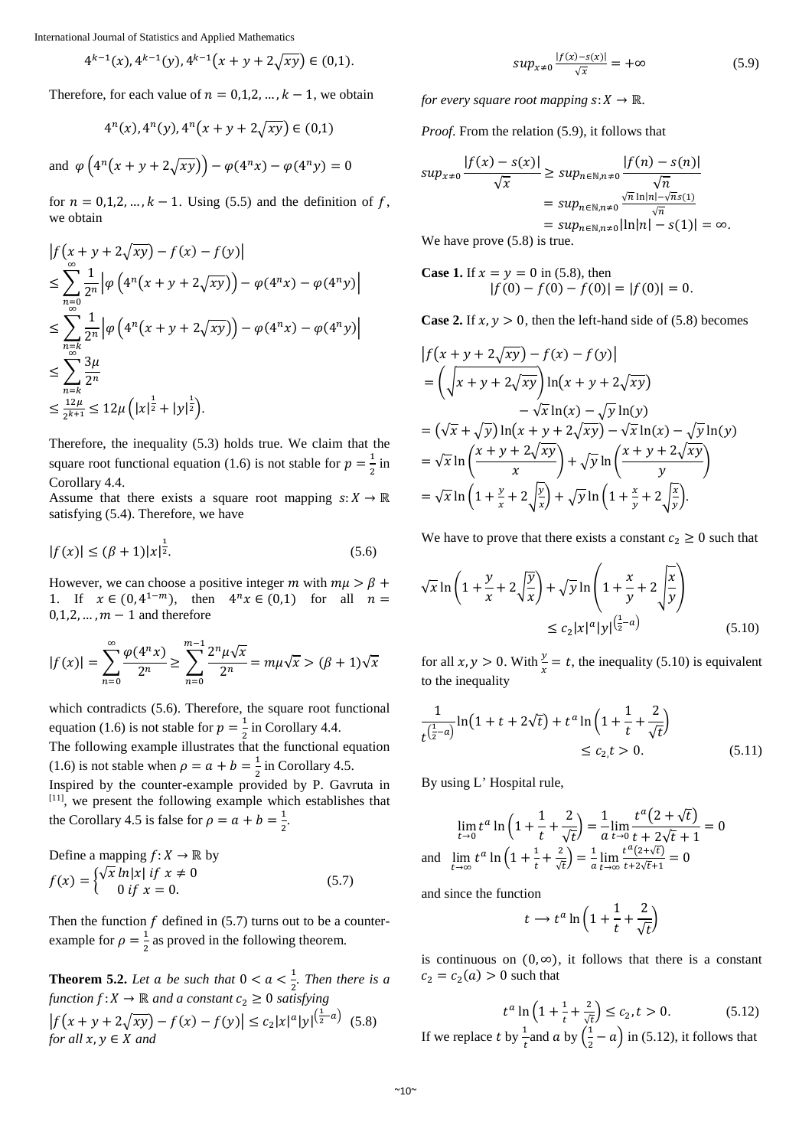$$
4^{k-1}(x), 4^{k-1}(y), 4^{k-1}(x+y+2\sqrt{xy}) \in (0,1).
$$

Therefore, for each value of  $n = 0,1,2,..., k - 1$ , we obtain

$$
4^{n}(x), 4^{n}(y), 4^{n}(x+y+2\sqrt{xy}) \in (0,1)
$$

and  $\varphi\left(4^n(x + y + 2\sqrt{xy})\right) - \varphi(4^n x) - \varphi(4^n y) = 0$ 

for  $n = 0,1,2,...,k-1$ . Using (5.5) and the definition of f, we obtain

$$
\begin{split} &|f(x+y+2\sqrt{xy})-f(x)-f(y)|\\ &\leq \sum_{n=0}^{\infty} \frac{1}{2^n} \left| \varphi \left(4^n(x+y+2\sqrt{xy})\right) - \varphi(4^n x) - \varphi(4^n y) \right|\\ &\leq \sum_{n=k}^{\infty} \frac{1}{2^n} \left| \varphi \left(4^n(x+y+2\sqrt{xy})\right) - \varphi(4^n x) - \varphi(4^n y) \right|\\ &\leq \sum_{n=k}^{\infty} \frac{3\mu}{2^n}\\ &\leq \frac{12\mu}{2^{k+1}} \leq 12\mu \left( |x|^{\frac{1}{2}} + |y|^{\frac{1}{2}} \right). \end{split}
$$

Therefore, the inequality (5.3) holds true. We claim that the square root functional equation (1.6) is not stable for  $p = \frac{1}{2}$  in Corollary 4.4.

Assume that there exists a square root mapping  $s: X \to \mathbb{R}$ satisfying (5.4). Therefore, we have

$$
|f(x)| \le (\beta + 1)|x|^{\frac{1}{2}}.\tag{5.6}
$$

However, we can choose a positive integer m with  $m\mu > \beta + \beta$ 1. If  $x \in (0, 4^{1-m})$ , then  $4^n x \in (0,1)$  for all  $n =$  $0,1,2,\ldots, m-1$  and therefore

$$
|f(x)| = \sum_{n=0}^{\infty} \frac{\varphi(4^n x)}{2^n} \ge \sum_{n=0}^{m-1} \frac{2^n \mu \sqrt{x}}{2^n} = m\mu \sqrt{x} > (\beta + 1)\sqrt{x}
$$

which contradicts (5.6). Therefore, the square root functional equation (1.6) is not stable for  $p = \frac{1}{2}$  in Corollary 4.4.

The following example illustrates that the functional equation (1.6) is not stable when  $\rho = a + b = \frac{1}{2}$  in Corollary 4.5.

Inspired by the counter-example provided by P. Gavruta in [11], we present the following example which establishes that the Corollary 4.5 is false for  $\rho = a + b = \frac{1}{2}$ .

Define a mapping 
$$
f: X \to \mathbb{R}
$$
 by  
\n
$$
f(x) = \begin{cases} \sqrt{x} \ln|x| & \text{if } x \neq 0 \\ 0 & \text{if } x = 0. \end{cases}
$$
\n(5.7)

Then the function  $f$  defined in (5.7) turns out to be a counterexample for  $\rho = \frac{1}{2}$  as proved in the following theorem.

**Theorem 5.2.** Let a be such that  $0 < a < \frac{1}{2}$ . Then there is a *function* : → ℝ *and a constant* 2 ≥ 0 *satisfying*  $|f(x + y + 2\sqrt{xy}) - f(x) - f(y)| \le c_2 |x|^a |y|^{\left(\frac{1}{2} - a\right)}$  (5.8) *for all*  $x, y \in X$  *and* 

$$
sup_{x \neq 0} \frac{|f(x) - s(x)|}{\sqrt{x}} = +\infty \tag{5.9}
$$

*for every square root mapping*  $s: X \to \mathbb{R}$ *.* 

*Proof*. From the relation (5.9), it follows that

$$
sup_{x\neq 0} \frac{|f(x) - s(x)|}{\sqrt{x}} \ge sup_{n \in \mathbb{N}, n\neq 0} \frac{|f(n) - s(n)|}{\sqrt{n}}
$$
  
= 
$$
sup_{n \in \mathbb{N}, n\neq 0} \frac{\sqrt{n} \ln |n| - \sqrt{n} s(1)}{\sqrt{n}}
$$
  
= 
$$
sup_{n \in \mathbb{N}, n\neq 0} |\ln |n| - s(1)| = \infty.
$$

We have prove (5.8) is true.

**Case 1.** If 
$$
x = y = 0
$$
 in (5.8), then  

$$
|f(0) - f(0) - f(0)| = |f(0)| = 0.
$$

**Case 2.** If  $x, y > 0$ , then the left-hand side of (5.8) becomes

$$
\begin{split}\n\left| f(x + y + 2\sqrt{xy}) - f(x) - f(y) \right| \\
&= \left( \sqrt{x + y + 2\sqrt{xy}} \right) \ln(x + y + 2\sqrt{xy}) \\
&\quad - \sqrt{x} \ln(x) - \sqrt{y} \ln(y) \\
&= (\sqrt{x} + \sqrt{y}) \ln(x + y + 2\sqrt{xy}) - \sqrt{x} \ln(x) - \sqrt{y} \ln(y) \\
&= \sqrt{x} \ln\left(\frac{x + y + 2\sqrt{xy}}{x}\right) + \sqrt{y} \ln\left(\frac{x + y + 2\sqrt{xy}}{y}\right) \\
&= \sqrt{x} \ln\left(1 + \frac{y}{x} + 2\sqrt{\frac{y}{x}}\right) + \sqrt{y} \ln\left(1 + \frac{x}{y} + 2\sqrt{\frac{x}{y}}\right).\n\end{split}
$$

We have to prove that there exists a constant  $c_2 \geq 0$  such that

$$
\sqrt{x}\ln\left(1+\frac{y}{x}+2\sqrt{\frac{y}{x}}\right)+\sqrt{y}\ln\left(1+\frac{x}{y}+2\sqrt{\frac{x}{y}}\right)
$$
  

$$
\leq c_2|x|^a|y|^{\left(\frac{1}{2}-a\right)}\tag{5.10}
$$

for all  $x, y > 0$ . With  $\frac{y}{x} = t$ , the inequality (5.10) is equivalent to the inequality

$$
\frac{1}{t^{\left(\frac{1}{2}-a\right)}}\ln\left(1+t+2\sqrt{t}\right)+t^a\ln\left(1+\frac{1}{t}+\frac{2}{\sqrt{t}}\right) \le c_2, t > 0. \tag{5.11}
$$

By using L' Hospital rule,

$$
\lim_{t \to 0} t^a \ln \left( 1 + \frac{1}{t} + \frac{2}{\sqrt{t}} \right) = \frac{1}{a} \lim_{t \to 0} \frac{t^a (2 + \sqrt{t})}{t + 2\sqrt{t} + 1} = 0
$$
  
and 
$$
\lim_{t \to \infty} t^a \ln \left( 1 + \frac{1}{t} + \frac{2}{\sqrt{t}} \right) = \frac{1}{a} \lim_{t \to \infty} \frac{t^a (2 + \sqrt{t})}{t + 2\sqrt{t} + 1} = 0
$$

and since the function

$$
t \to t^a \ln\left(1 + \frac{1}{t} + \frac{2}{\sqrt{t}}\right)
$$

is continuous on  $(0, \infty)$ , it follows that there is a constant  $c_2 = c_2(a) > 0$  such that

$$
t^{a} \ln\left(1 + \frac{1}{t} + \frac{2}{\sqrt{t}}\right) \le c_{2}, t > 0. \tag{5.12}
$$
  
If we replace  $t$  by  $\frac{1}{t}$  and  $a$  by  $\left(\frac{1}{2} - a\right)$  in (5.12), it follows that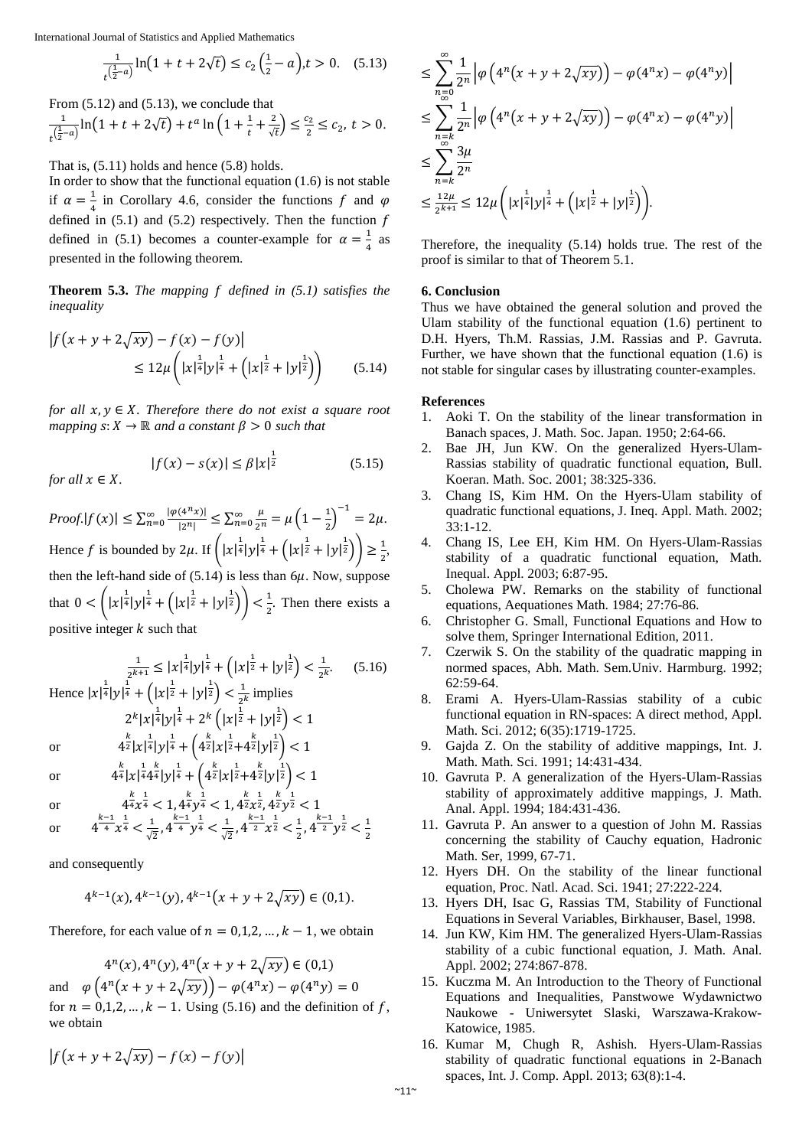$$
\frac{1}{t^{\left(\frac{1}{2}-a\right)}}\ln\left(1+t+2\sqrt{t}\right) \le c_2\left(\frac{1}{2}-a\right), t > 0. \quad (5.13)
$$

From (5.12) and (5.13), we conclude that

$$
\frac{1}{t^{\left(\frac{1}{2}-a\right)}}\ln\left(1+t+2\sqrt{t}\right)+t^a\ln\left(1+\frac{1}{t}+\frac{2}{\sqrt{t}}\right)\leq \frac{c_2}{2}\leq c_2, \ t>0.
$$

That is, (5.11) holds and hence (5.8) holds.

In order to show that the functional equation  $(1.6)$  is not stable if  $\alpha = \frac{1}{4}$  in Corollary 4.6, consider the functions f and  $\varphi$ defined in  $(5.1)$  and  $(5.2)$  respectively. Then the function  $f$ defined in (5.1) becomes a counter-example for  $\alpha = \frac{1}{4}$  as presented in the following theorem.

**Theorem 5.3.** *The mapping f defined in (5.1) satisfies the inequality*

$$
\begin{aligned} \left| f(x+y+2\sqrt{xy}) - f(x) - f(y) \right| \\ &\le 12\mu \left( |x|^{\frac{1}{4}}|y|^{\frac{1}{4}} + \left( |x|^{\frac{1}{2}} + |y|^{\frac{1}{2}} \right) \right) \end{aligned} \tag{5.14}
$$

*for all*  $x, y \in X$ *. Therefore there do not exist a square root mapping*  $s: X \to \mathbb{R}$  *and a constant*  $\beta > 0$  *such that* 

$$
|f(x) - s(x)| \le \beta |x|^{\frac{1}{2}}
$$
  
for all  $x \in X$ .

 $Proof.|f(x)| \leq \sum_{n=0}^{\infty} \frac{|\varphi(4^n x)|}{|2^n|} \leq \sum_{n=0}^{\infty} \frac{\mu}{2^n} = \mu \left(1 - \frac{1}{2}\right)^{-1} = 2\mu.$ Hence f is bounded by 2 $\mu$ . If  $\left( |x|^{\frac{1}{4}} |y|^{\frac{1}{4}} + \left( |x|^{\frac{1}{2}} + |y|^{\frac{1}{2}} \right) \right) \ge \frac{1}{2}$ , then the left-hand side of  $(5.14)$  is less than  $6\mu$ . Now, suppose that  $0 < (|x|^{\frac{1}{4}}|y|^{\frac{1}{4}} + (|x|^{\frac{1}{2}} + |y|^{\frac{1}{2}}) > \frac{1}{2}$ . Then there exists a positive integer  $k$  such that

 $rac{1}{2^{k+1}} \le |x|^{\frac{1}{4}} |y|^{\frac{1}{4}} + (|x|^{\frac{1}{2}} + |y|^{\frac{1}{2}}) < \frac{1}{2^k}$  $(5.16)$ Hence  $|x|^{\frac{1}{4}}|y|^{\frac{1}{4}} + (|x|^{\frac{1}{2}} + |y|^{\frac{1}{2}}) < \frac{1}{2^k}$  implies  $2^{k} |x|^{\frac{1}{4}} |y|^{\frac{1}{4}} + 2^{k} (|x|^{\frac{1}{2}} + |y|^{\frac{1}{2}}) < 1$ or  $4^{\frac{k}{2}}|x|^{\frac{1}{4}}|y|^{\frac{1}{4}} + \left(4^{\frac{k}{2}}|x|^{\frac{1}{2}}+4^{\frac{k}{2}}|y|^{\frac{1}{2}}\right) < 1$ 

or 
$$
4^{\frac{k}{4}}|x|^{\frac{1}{4}}4^{\frac{k}{4}}|y|^{\frac{1}{4}} + (4^{\frac{k}{2}}|x|^{\frac{1}{2}}+4^{\frac{k}{2}}|y|^{\frac{1}{2}}) < 1
$$

*for all*  $\boldsymbol{x}$ 

or 
$$
4^{\frac{k}{4}}x^{\frac{1}{4}} < 1, 4^{\frac{k}{4}}y^{\frac{1}{4}} < 1, 4^{\frac{k}{2}}x^{\frac{1}{2}}, \frac{k}{4}y^{\frac{1}{2}} < 1
$$
  
or  $4^{\frac{k-1}{4}}x^{\frac{1}{4}} < \frac{1}{\sqrt{2}}, 4^{\frac{k-1}{4}}y^{\frac{1}{4}} < \frac{1}{\sqrt{2}}, 4^{\frac{k-1}{2}}x^{\frac{1}{2}} < \frac{1}{2}, 4^{\frac{k-1}{2}}y^{\frac{1}{2}} < \frac{1}{2}$ 

and consequently

$$
4^{k-1}(x), 4^{k-1}(y), 4^{k-1}(x+y+2\sqrt{xy}) \in (0,1).
$$

Therefore, for each value of  $n = 0,1,2,..., k - 1$ , we obtain

 $4^n(x)$ ,  $4^n(y)$ ,  $4^n(x + y + 2\sqrt{xy}) \in (0,1)$ and  $\varphi\left(4^n(x + y + 2\sqrt{xy})\right) - \varphi(4^n x) - \varphi(4^n y) = 0$ for  $n = 0,1,2,..., k - 1$ . Using (5.16) and the definition of f, we obtain

$$
\left|f(x+y+2\sqrt{xy}\right)-f(x)-f(y)\right|
$$

$$
\leq \sum_{\substack{n=0 \ \infty}}^{\infty} \frac{1}{2^n} \left| \varphi \left( 4^n (x + y + 2\sqrt{xy}) \right) - \varphi (4^n x) - \varphi (4^n y) \right|
$$
  
\n
$$
\leq \sum_{\substack{n=0 \ \infty}}^{\infty} \frac{1}{2^n} \left| \varphi \left( 4^n (x + y + 2\sqrt{xy}) \right) - \varphi (4^n x) - \varphi (4^n y) \right|
$$
  
\n
$$
\leq \sum_{n=k}^{\infty} \frac{3\mu}{2^n}
$$
  
\n
$$
\leq \frac{12\mu}{2^{k+1}} \leq 12\mu \left( |x|^{\frac{1}{4}} |y|^{\frac{1}{4}} + \left( |x|^{\frac{1}{2}} + |y|^{\frac{1}{2}} \right) \right).
$$

Therefore, the inequality (5.14) holds true. The rest of the proof is similar to that of Theorem 5.1.

# **6. Conclusion**

Thus we have obtained the general solution and proved the Ulam stability of the functional equation (1.6) pertinent to D.H. Hyers, Th.M. Rassias, J.M. Rassias and P. Gavruta. Further, we have shown that the functional equation (1.6) is not stable for singular cases by illustrating counter-examples.

# **References**

 $(5.15)$ 

- 1. Aoki T. On the stability of the linear transformation in Banach spaces, J. Math. Soc. Japan. 1950; 2:64-66.
- 2. Bae JH, Jun KW. On the generalized Hyers-Ulam-Rassias stability of quadratic functional equation, Bull. Koeran. Math. Soc. 2001; 38:325-336.
- 3. Chang IS, Kim HM. On the Hyers-Ulam stability of quadratic functional equations, J. Ineq. Appl. Math. 2002; 33:1-12.
- 4. Chang IS, Lee EH, Kim HM. On Hyers-Ulam-Rassias stability of a quadratic functional equation, Math. Inequal. Appl. 2003; 6:87-95.
- 5. Cholewa PW. Remarks on the stability of functional equations, Aequationes Math. 1984; 27:76-86.
- 6. Christopher G. Small, Functional Equations and How to solve them, Springer International Edition, 2011.
- 7. Czerwik S. On the stability of the quadratic mapping in normed spaces, Abh. Math. Sem.Univ. Harmburg. 1992; 62:59-64.
- 8. Erami A. Hyers-Ulam-Rassias stability of a cubic functional equation in RN-spaces: A direct method, Appl. Math. Sci. 2012; 6(35):1719-1725.
- 9. Gajda Z. On the stability of additive mappings, Int. J. Math. Math. Sci. 1991; 14:431-434.
- 10. Gavruta P. A generalization of the Hyers-Ulam-Rassias stability of approximately additive mappings, J. Math. Anal. Appl. 1994; 184:431-436.
- 11. Gavruta P. An answer to a question of John M. Rassias concerning the stability of Cauchy equation, Hadronic Math. Ser, 1999, 67-71.
- 12. Hyers DH. On the stability of the linear functional equation, Proc. Natl. Acad. Sci. 1941; 27:222-224.
- 13. Hyers DH, Isac G, Rassias TM, Stability of Functional Equations in Several Variables, Birkhauser, Basel, 1998.
- 14. Jun KW, Kim HM. The generalized Hyers-Ulam-Rassias stability of a cubic functional equation, J. Math. Anal. Appl. 2002; 274:867-878.
- 15. Kuczma M. An Introduction to the Theory of Functional Equations and Inequalities, Panstwowe Wydawnictwo Naukowe - Uniwersytet Slaski, Warszawa-Krakow-Katowice, 1985.
- 16. Kumar M, Chugh R, Ashish. Hyers-Ulam-Rassias stability of quadratic functional equations in 2-Banach spaces, Int. J. Comp. Appl. 2013; 63(8):1-4.